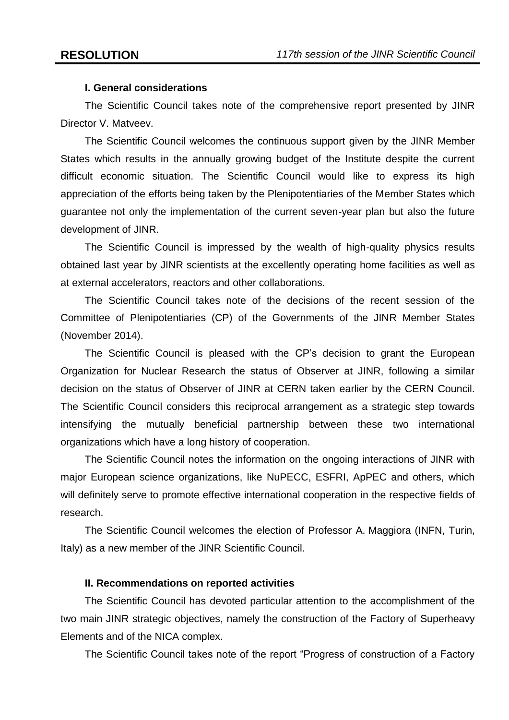## **I. General considerations**

The Scientific Council takes note of the comprehensive report presented by JINR Director V. Matveev.

The Scientific Council welcomes the continuous support given by the JINR Member States which results in the annually growing budget of the Institute despite the current difficult economic situation. The Scientific Council would like to express its high appreciation of the efforts being taken by the Plenipotentiaries of the Member States which guarantee not only the implementation of the current seven-year plan but also the future development of JINR.

The Scientific Council is impressed by the wealth of high-quality physics results obtained last year by JINR scientists at the excellently operating home facilities as well as at external accelerators, reactors and other collaborations.

The Scientific Council takes note of the decisions of the recent session of the Committee of Plenipotentiaries (CP) of the Governments of the JINR Member States (November 2014).

The Scientific Council is pleased with the CP's decision to grant the European Organization for Nuclear Research the status of Observer at JINR, following a similar decision on the status of Observer of JINR at CERN taken earlier by the CERN Council. The Scientific Council considers this reciprocal arrangement as a strategic step towards intensifying the mutually beneficial partnership between these two international organizations which have a long history of cooperation.

The Scientific Council notes the information on the ongoing interactions of JINR with major European science organizations, like NuPECC, ESFRI, ApPEC and others, which will definitely serve to promote effective international cooperation in the respective fields of research.

The Scientific Council welcomes the election of Professor A. Maggiora (INFN, Turin, Italy) as a new member of the JINR Scientific Council.

## **II. Recommendations on reported activities**

The Scientific Council has devoted particular attention to the accomplishment of the two main JINR strategic objectives, namely the construction of the Factory of Superheavy Elements and of the NICA complex.

The Scientific Council takes note of the report "Progress of construction of a Factory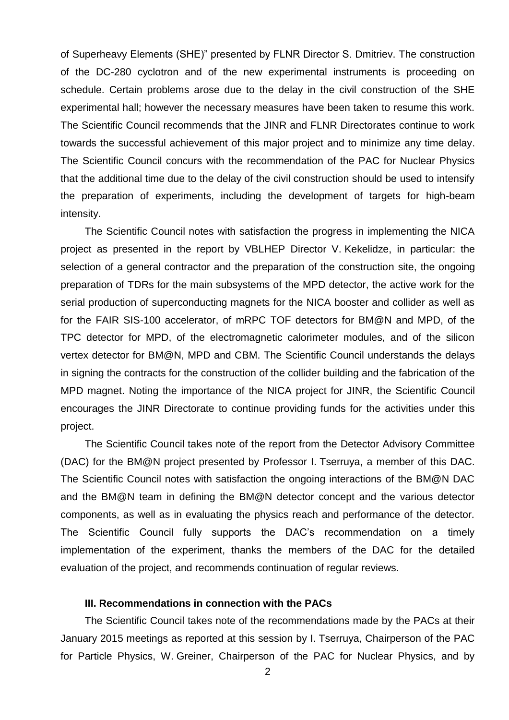of Superheavy Elements (SHE)" presented by FLNR Director S. Dmitriev. The construction of the DC-280 cyclotron and of the new experimental instruments is proceeding on schedule. Certain problems arose due to the delay in the civil construction of the SHE experimental hall; however the necessary measures have been taken to resume this work. The Scientific Council recommends that the JINR and FLNR Directorates continue to work towards the successful achievement of this major project and to minimize any time delay. The Scientific Council concurs with the recommendation of the PAC for Nuclear Physics that the additional time due to the delay of the civil construction should be used to intensify the preparation of experiments, including the development of targets for high-beam intensity.

The Scientific Council notes with satisfaction the progress in implementing the NICA project as presented in the report by VBLHEP Director V. Kekelidze, in particular: the selection of a general contractor and the preparation of the construction site, the ongoing preparation of TDRs for the main subsystems of the MPD detector, the active work for the serial production of superconducting magnets for the NICA booster and collider as well as for the FAIR SIS-100 accelerator, of mRPC TOF detectors for BM@N and MPD, of the TPC detector for MPD, of the electromagnetic calorimeter modules, and of the silicon vertex detector for BM@N, MPD and CBM. The Scientific Council understands the delays in signing the contracts for the construction of the collider building and the fabrication of the MPD magnet. Noting the importance of the NICA project for JINR, the Scientific Council encourages the JINR Directorate to continue providing funds for the activities under this project.

The Scientific Council takes note of the report from the Detector Advisory Committee (DAC) for the BM@N project presented by Professor I. Tserruya, a member of this DAC. The Scientific Council notes with satisfaction the ongoing interactions of the BM@N DAC and the BM@N team in defining the BM@N detector concept and the various detector components, as well as in evaluating the physics reach and performance of the detector. The Scientific Council fully supports the DAC's recommendation on a timely implementation of the experiment, thanks the members of the DAC for the detailed evaluation of the project, and recommends continuation of regular reviews.

### **III. Recommendations in connection with the PACs**

The Scientific Council takes note of the recommendations made by the PACs at their January 2015 meetings as reported at this session by I. Tserruya, Chairperson of the PAC for Particle Physics, W. Greiner, Chairperson of the PAC for Nuclear Physics, and by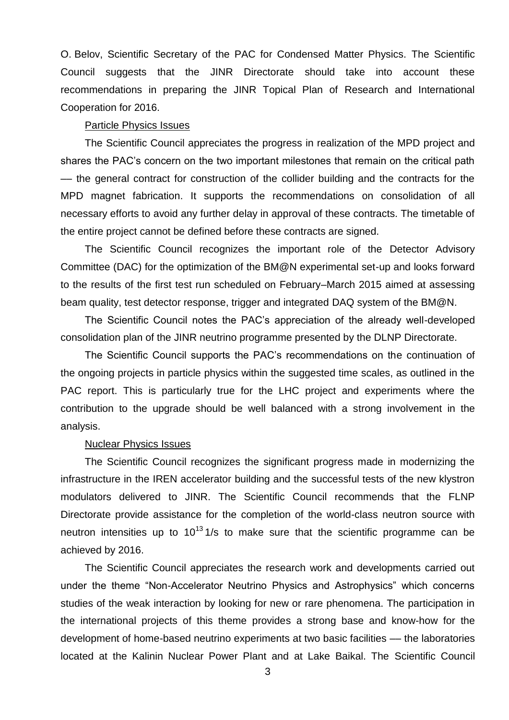O. Belov, Scientific Secretary of the PAC for Condensed Matter Physics. The Scientific Council suggests that the JINR Directorate should take into account these recommendations in preparing the JINR Topical Plan of Research and International Cooperation for 2016.

### Particle Physics Issues

The Scientific Council appreciates the progress in realization of the MPD project and shares the PAC's concern on the two important milestones that remain on the critical path –– the general contract for construction of the collider building and the contracts for the MPD magnet fabrication. It supports the recommendations on consolidation of all necessary efforts to avoid any further delay in approval of these contracts. The timetable of the entire project cannot be defined before these contracts are signed.

The Scientific Council recognizes the important role of the Detector Advisory Committee (DAC) for the optimization of the BM@N experimental set-up and looks forward to the results of the first test run scheduled on February–March 2015 aimed at assessing beam quality, test detector response, trigger and integrated DAQ system of the BM@N.

The Scientific Council notes the PAC's appreciation of the already well-developed consolidation plan of the JINR neutrino programme presented by the DLNP Directorate.

The Scientific Council supports the PAC's recommendations on the continuation of the ongoing projects in particle physics within the suggested time scales, as outlined in the PAC report. This is particularly true for the LHC project and experiments where the contribution to the upgrade should be well balanced with a strong involvement in the analysis.

#### Nuclear Physics Issues

The Scientific Council recognizes the significant progress made in modernizing the infrastructure in the IREN accelerator building and the successful tests of the new klystron modulators delivered to JINR. The Scientific Council recommends that the FLNP Directorate provide assistance for the completion of the world-class neutron source with neutron intensities up to  $10^{13}$  1/s to make sure that the scientific programme can be achieved by 2016.

The Scientific Council appreciates the research work and developments carried out under the theme "Non-Accelerator Neutrino Physics and Astrophysics" which concerns studies of the weak interaction by looking for new or rare phenomena. The participation in the international projects of this theme provides a strong base and know-how for the development of home-based neutrino experiments at two basic facilities –– the laboratories located at the Kalinin Nuclear Power Plant and at Lake Baikal. The Scientific Council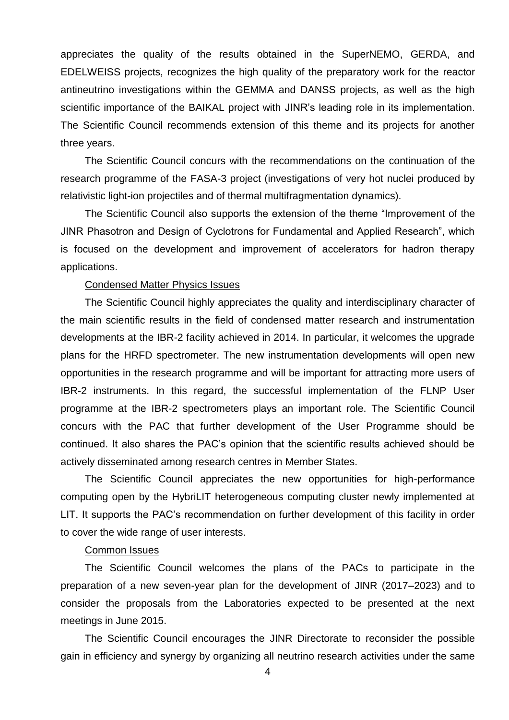appreciates the quality of the results obtained in the SuperNEMO, GERDA, and EDELWEISS projects, recognizes the high quality of the preparatory work for the reactor antineutrino investigations within the GEMMA and DANSS projects, as well as the high scientific importance of the BAIKAL project with JINR's leading role in its implementation. The Scientific Council recommends extension of this theme and its projects for another three years.

The Scientific Council concurs with the recommendations on the continuation of the research programme of the FASA-3 project (investigations of very hot nuclei produced by relativistic light-ion projectiles and of thermal multifragmentation dynamics).

The Scientific Council also supports the extension of the theme "Improvement of the JINR Phasotron and Design of Cyclotrons for Fundamental and Applied Research", which is focused on the development and improvement of accelerators for hadron therapy applications.

### Condensed Matter Physics Issues

The Scientific Council highly appreciates the quality and interdisciplinary character of the main scientific results in the field of condensed matter research and instrumentation developments at the IBR-2 facility achieved in 2014. In particular, it welcomes the upgrade plans for the HRFD spectrometer. The new instrumentation developments will open new opportunities in the research programme and will be important for attracting more users of IBR-2 instruments. In this regard, the successful implementation of the FLNP User programme at the IBR-2 spectrometers plays an important role. The Scientific Council concurs with the PAC that further development of the User Programme should be continued. It also shares the PAC's opinion that the scientific results achieved should be actively disseminated among research centres in Member States.

The Scientific Council appreciates the new opportunities for high-performance computing open by the HybriLIT heterogeneous computing cluster newly implemented at LIT. It supports the PAC's recommendation on further development of this facility in order to cover the wide range of user interests.

### Common Issues

The Scientific Council welcomes the plans of the PACs to participate in the preparation of a new seven-year plan for the development of JINR (2017–2023) and to consider the proposals from the Laboratories expected to be presented at the next meetings in June 2015.

The Scientific Council encourages the JINR Directorate to reconsider the possible gain in efficiency and synergy by organizing all neutrino research activities under the same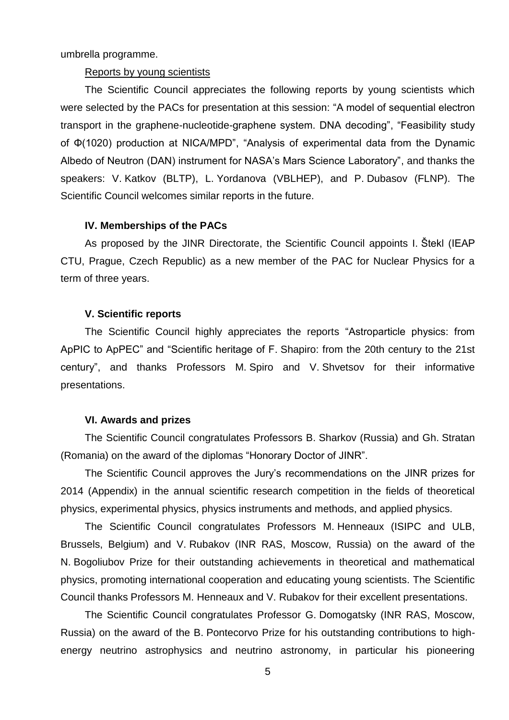umbrella programme.

### Reports by young scientists

The Scientific Council appreciates the following reports by young scientists which were selected by the PACs for presentation at this session: "A model of sequential electron transport in the graphene-nucleotide-graphene system. DNA decoding", "Feasibility study of Φ(1020) production at NICA/MPD", "Analysis of experimental data from the Dynamic Albedo of Neutron (DAN) instrument for NASA's Mars Science Laboratory", and thanks the speakers: V. Katkov (BLTP), L. Yordanova (VBLHEP), and P. Dubasov (FLNP). The Scientific Council welcomes similar reports in the future.

#### **IV. Memberships of the PACs**

As proposed by the JINR Directorate, the Scientific Council appoints I. Štekl (IEAP CTU, Prague, Czech Republic) as a new member of the PAC for Nuclear Physics for a term of three years.

### **V. Scientific reports**

The Scientific Council highly appreciates the reports "Astroparticle physics: from ApPIC to ApPEC" and "Scientific heritage of F. Shapiro: from the 20th century to the 21st century", and thanks Professors M. Spiro and V. Shvetsov for their informative presentations.

### **VI. Awards and prizes**

The Scientific Council congratulates Professors B. Sharkov (Russia) and Gh. Stratan (Romania) on the award of the diplomas "Honorary Doctor of JINR".

The Scientific Council approves the Jury's recommendations on the JINR prizes for 2014 (Appendix) in the annual scientific research competition in the fields of theoretical physics, experimental physics, physics instruments and methods, and applied physics.

The Scientific Council congratulates Professors M. Henneaux (ISIPC and ULB, Brussels, Belgium) and V. Rubakov (INR RAS, Moscow, Russia) on the award of the N. Bogoliubov Prize for their outstanding achievements in theoretical and mathematical physics, promoting international cooperation and educating young scientists. The Scientific Council thanks Professors M. Henneaux and V. Rubakov for their excellent presentations.

The Scientific Council congratulates Professor G. Domogatsky (INR RAS, Moscow, Russia) on the award of the B. Pontecorvo Prize for his outstanding contributions to highenergy neutrino astrophysics and neutrino astronomy, in particular his pioneering